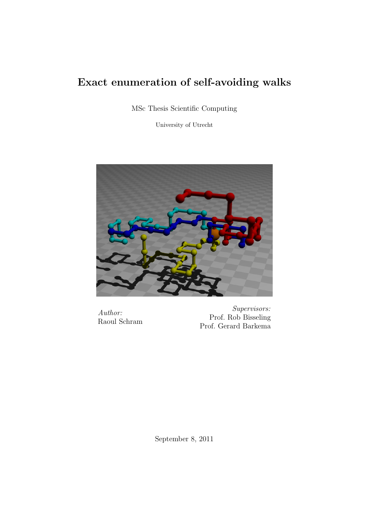### Exact enumeration of self-avoiding walks

MSc Thesis Scientific Computing

University of Utrecht



Author: Raoul Schram

Supervisors: Prof. Rob Bisseling Prof. Gerard Barkema

September 8, 2011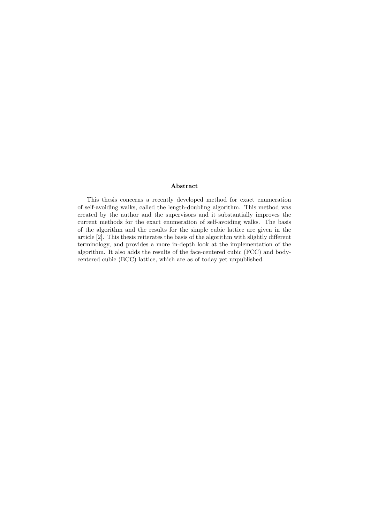#### Abstract

This thesis concerns a recently developed method for exact enumeration of self-avoiding walks, called the length-doubling algorithm. This method was created by the author and the supervisors and it substantially improves the current methods for the exact enumeration of self-avoiding walks. The basis of the algorithm and the results for the simple cubic lattice are given in the article [2]. This thesis reiterates the basis of the algorithm with slightly different terminology, and provides a more in-depth look at the implementation of the algorithm. It also adds the results of the face-centered cubic (FCC) and bodycentered cubic (BCC) lattice, which are as of today yet unpublished.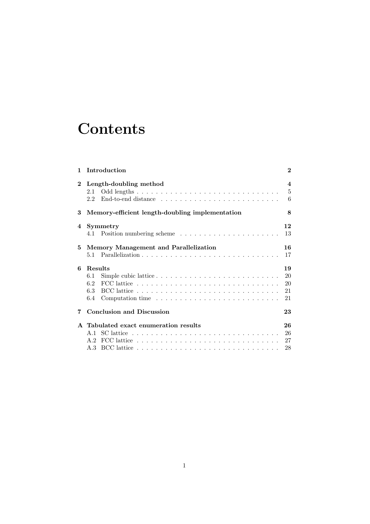## **Contents**

|              | 1 Introduction                                                                                    | $\overline{2}$                                 |
|--------------|---------------------------------------------------------------------------------------------------|------------------------------------------------|
| $\mathbf{2}$ | Length-doubling method                                                                            | $\overline{\mathbf{4}}$<br>$\overline{5}$<br>6 |
| 3            | Memory-efficient length-doubling implementation                                                   |                                                |
| 4            | <b>Symmetry</b>                                                                                   | 12<br>13                                       |
| 5            | Memory Management and Parallelization                                                             | 16<br>17                                       |
| 6            | Results                                                                                           |                                                |
|              | 6.1                                                                                               | 20                                             |
|              | FCC lattice $\ldots \ldots \ldots \ldots \ldots \ldots \ldots \ldots \ldots \ldots \ldots$<br>6.2 | 20                                             |
|              | 6.4                                                                                               | 21<br>21                                       |
| 7            | <b>Conclusion and Discussion</b>                                                                  | 23                                             |
|              | A Tabulated exact enumeration results                                                             | 26                                             |
|              |                                                                                                   | 26                                             |
|              |                                                                                                   | 27                                             |
|              |                                                                                                   | 28                                             |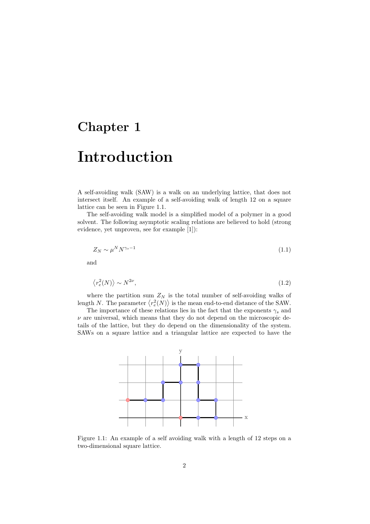## Introduction

A self-avoiding walk (SAW) is a walk on an underlying lattice, that does not intersect itself. An example of a self-avoiding walk of length 12 on a square lattice can be seen in Figure 1.1.

The self-avoiding walk model is a simplified model of a polymer in a good solvent. The following asymptotic scaling relations are believed to hold (strong evidence, yet unproven, see for example [1]):

$$
Z_N \sim \mu^N N^{\gamma_s - 1} \tag{1.1}
$$

and

$$
\langle r_e^2(N) \rangle \sim N^{2\nu},\tag{1.2}
$$

where the partition sum  $Z_N$  is the total number of self-avoiding walks of length N. The parameter  $\langle r_e^2(N) \rangle$  is the mean end-to-end distance of the SAW.

The importance of these relations lies in the fact that the exponents  $\gamma_s$  and  $\nu$  are universal, which means that they do not depend on the microscopic details of the lattice, but they do depend on the dimensionality of the system. SAWs on a square lattice and a triangular lattice are expected to have the



Figure 1.1: An example of a self avoiding walk with a length of 12 steps on a two-dimensional square lattice.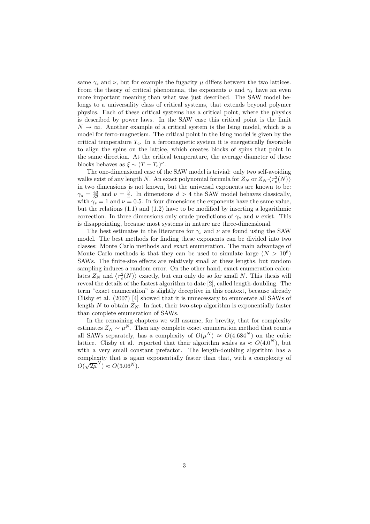same  $\gamma_s$  and  $\nu$ , but for example the fugacity  $\mu$  differs between the two lattices. From the theory of critical phenomena, the exponents  $\nu$  and  $\gamma_s$  have an even more important meaning than what was just described. The SAW model belongs to a universality class of critical systems, that extends beyond polymer physics. Each of these critical systems has a critical point, where the physics is described by power laws. In the SAW case this critical point is the limit  $N \to \infty$ . Another example of a critical system is the Ising model, which is a model for ferro-magnetism. The critical point in the Ising model is given by the critical temperature  $T_c$ . In a ferromagnetic system it is energetically favorable to align the spins on the lattice, which creates blocks of spins that point in the same direction. At the critical temperature, the average diameter of these blocks behaves as  $\xi \sim (T - T_c)^{\nu}$ .

The one-dimensional case of the SAW model is trivial: only two self-avoiding walks exist of any length N. An exact polynomial formula for  $Z_N$  or  $Z_N \cdot \langle r_e^2(N) \rangle$ in two dimensions is not known, but the universal exponents are known to be:  $\gamma_s = \frac{43}{32}$  and  $\nu = \frac{3}{4}$ . In dimensions  $d > 4$  the SAW model behaves classically, with  $\gamma_s^2 = 1$  and  $\nu = 0.5$ . In four dimensions the exponents have the same value, but the relations (1.1) and (1.2) have to be modified by inserting a logarithmic correction. In three dimensions only crude predictions of  $\gamma_s$  and  $\nu$  exist. This is disappointing, because most systems in nature are three-dimensional.

The best estimates in the literature for  $\gamma_s$  and  $\nu$  are found using the SAW model. The best methods for finding these exponents can be divided into two classes: Monte Carlo methods and exact enumeration. The main advantage of Monte Carlo methods is that they can be used to simulate large  $(N > 10^6)$ SAWs. The finite-size effects are relatively small at these lengths, but random sampling induces a random error. On the other hand, exact enumeration calculates  $Z_N$  and  $\langle r_e^2(N) \rangle$  exactly, but can only do so for small N. This thesis will reveal the details of the fastest algorithm to date [2], called length-doubling. The term "exact enumeration" is slightly deceptive in this context, because already Clisby et al. (2007) [4] showed that it is unnecessary to enumerate all SAWs of length N to obtain  $Z_N$ . In fact, their two-step algorithm is exponentially faster than complete enumeration of SAWs.

In the remaining chapters we will assume, for brevity, that for complexity estimates  $Z_N \sim \mu^N$ . Then any complete exact enumeration method that counts all SAWs separately, has a complexity of  $O(\mu^N) \approx O(4.684^N)$  on the cubic lattice. Clisby et al. reported that their algorithm scales as  $\approx O(4.0^N)$ , but with a very small constant prefactor. The length-doubling algorithm has a complexity that is again exponentially faster than that, with a complexity of  $O(\sqrt{2\mu}^N) \approx O(3.06^N).$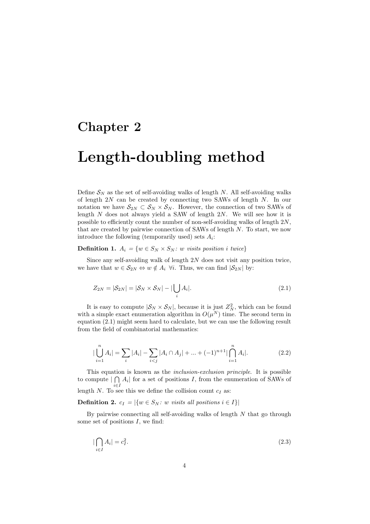## Length-doubling method

Define  $S_N$  as the set of self-avoiding walks of length N. All self-avoiding walks of length  $2N$  can be created by connecting two SAWs of length  $N$ . In our notation we have  $S_{2N} \subset S_N \times S_N$ . However, the connection of two SAWs of length  $N$  does not always yield a SAW of length  $2N$ . We will see how it is possible to efficiently count the number of non-self-avoiding walks of length 2N, that are created by pairwise connection of SAWs of length  $N$ . To start, we now introduce the following (temporarily used) sets  $A_i$ :

**Definition 1.**  $A_i = \{w \in S_N \times S_N : w \text{ visits position } i \text{ twice}\}\$ 

Since any self-avoiding walk of length  $2N$  does not visit any position twice, we have that  $w \in \mathcal{S}_{2N} \Leftrightarrow w \notin A_i \ \forall i$ . Thus, we can find  $|\mathcal{S}_{2N}|$  by:

$$
Z_{2N} = |\mathcal{S}_{2N}| = |\mathcal{S}_N \times \mathcal{S}_N| - |\bigcup_i A_i|.
$$
\n(2.1)

It is easy to compute  $|\mathcal{S}_N \times \mathcal{S}_N|$ , because it is just  $Z_N^2$ , which can be found with a simple exact enumeration algorithm in  $O(\mu^N)$  time. The second term in equation (2.1) might seem hard to calculate, but we can use the following result from the field of combinatorial mathematics:

$$
|\bigcup_{i=1}^{n} A_i| = \sum_{i} |A_i| - \sum_{i < j} |A_i \cap A_j| + \dots + (-1)^{n+1} |\bigcap_{i=1}^{n} A_i|. \tag{2.2}
$$

This equation is known as the inclusion-exclusion principle. It is possible to compute  $|\bigcap A_i|$  for a set of positions I, from the enumeration of SAWs of length N. To see this we define the collision count  $c_I$  as:

**Definition 2.**  $c_I = |\{w \in S_N : w \text{ visits all positions } i \in I\}|$ 

By pairwise connecting all self-avoiding walks of length  $N$  that go through some set of positions  $I$ , we find:

$$
\left|\bigcap_{i\in I} A_i\right| = c_I^2. \tag{2.3}
$$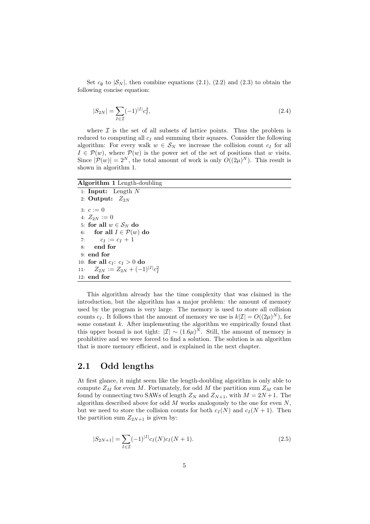Set  $c_{\emptyset}$  to  $|\mathcal{S}_N|$ , then combine equations (2.1), (2.2) and (2.3) to obtain the following concise equation:

$$
|S_{2N}| = \sum_{I \in \mathcal{I}} (-1)^{|I|} c_I^2,
$$
\n(2.4)

where  $\mathcal I$  is the set of all subsets of lattice points. Thus the problem is reduced to computing all  $c_I$  and summing their squares. Consider the following algorithm: For every walk  $w \in S_N$  we increase the collision count  $c_I$  for all  $I \in \mathcal{P}(w)$ , where  $\mathcal{P}(w)$  is the power set of the set of positions that w visits. Since  $|\mathcal{P}(w)| = 2^N$ , the total amount of work is only  $O((2\mu)^N)$ . This result is shown in algorithm 1.

#### Algorithm 1 Length-doubling

1: Input: Length  $N$ 2: Output:  $Z_{2N}$ 3:  $c := 0$ 4:  $Z_{2N} := 0$ 5: for all  $w \in S_N$  do 6: for all  $I \in \mathcal{P}(w)$  do 7:  $c_I := c_I + 1$ 8: end for 9: end for 10: for all  $c_I: c_I > 0$  do 11:  $Z_{2N} := Z_{2N} + (-1)^{|I|} c_I^2$ 12: end for

This algorithm already has the time complexity that was claimed in the introduction, but the algorithm has a major problem: the amount of memory used by the program is very large. The memory is used to store all collision counts  $c_I$ . It follows that the amount of memory we use is  $k|\mathcal{I}| = O((2\mu)^N)$ , for some constant  $k$ . After implementing the algorithm we empirically found that this upper bound is not tight:  $|\mathcal{I}| \sim (1.6\mu)^N$ . Still, the amount of memory is prohibitive and we were forced to find a solution. The solution is an algorithm that is more memory efficient, and is explained in the next chapter.

#### 2.1 Odd lengths

At first glance, it might seem like the length-doubling algorithm is only able to compute  $Z_M$  for even M. Fortunately, for odd M the partition sum  $Z_M$  can be found by connecting two SAWs of length  $Z_N$  and  $Z_{N+1}$ , with  $M = 2N+1$ . The algorithm described above for odd  $M$  works analogously to the one for even  $N$ , but we need to store the collision counts for both  $c_I(N)$  and  $c_I(N + 1)$ . Then the partition sum  $Z_{2N+1}$  is given by:

$$
|S_{2N+1}| = \sum_{I \in \mathcal{I}} (-1)^{|I|} c_I(N) c_I(N+1).
$$
 (2.5)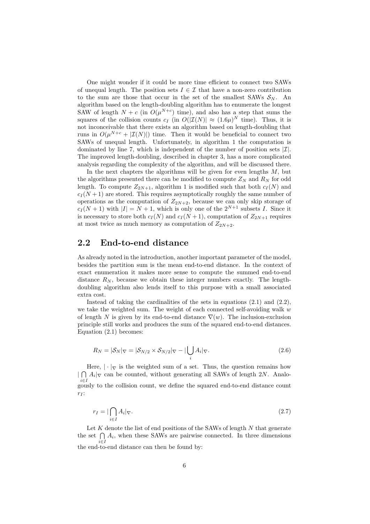One might wonder if it could be more time efficient to connect two SAWs of unequal length. The position sets  $I \in \mathcal{I}$  that have a non-zero contribution to the sum are those that occur in the set of the smallest SAWs  $S_N$ . An algorithm based on the length-doubling algorithm has to enumerate the longest SAW of length  $N + c$  (in  $O(\mu^{N+c})$  time), and also has a step that sums the squares of the collision counts  $c_I$  (in  $O(|\mathcal{I}(N)| \approx (1.6\mu)^N$  time). Thus, it is not inconceivable that there exists an algorithm based on length-doubling that runs in  $O(\mu^{N+c} + |\mathcal{I}(N)|)$  time. Then it would be beneficial to connect two SAWs of unequal length. Unfortunately, in algorithm 1 the computation is dominated by line 7, which is independent of the number of position sets  $|\mathcal{I}|$ . The improved length-doubling, described in chapter 3, has a more complicated analysis regarding the complexity of the algorithm, and will be discussed there.

In the next chapters the algorithms will be given for even lengths  $M$ , but the algorithms presented there can be modified to compute  $Z_N$  and  $R_N$  for odd length. To compute  $Z_{2N+1}$ , algorithm 1 is modified such that both  $c_I(N)$  and  $c_I(N+1)$  are stored. This requires asymptotically roughly the same number of operations as the computation of  $Z_{2N+2}$ , because we can only skip storage of  $c_I (N + 1)$  with  $|I| = N + 1$ , which is only one of the  $2^{N+1}$  subsets I. Since it is necessary to store both  $c_I(N)$  and  $c_I(N+1)$ , computation of  $Z_{2N+1}$  requires at most twice as much memory as computation of  $Z_{2N+2}$ .

#### 2.2 End-to-end distance

As already noted in the introduction, another important parameter of the model, besides the partition sum is the mean end-to-end distance. In the context of exact enumeration it makes more sense to compute the summed end-to-end distance  $R_N$ , because we obtain these integer numbers exactly. The lengthdoubling algorithm also lends itself to this purpose with a small associated extra cost.

Instead of taking the cardinalities of the sets in equations  $(2.1)$  and  $(2.2)$ , we take the weighted sum. The weight of each connected self-avoiding walk  $w$ of length N is given by its end-to-end distance  $\nabla(w)$ . The inclusion-exclusion principle still works and produces the sum of the squared end-to-end distances. Equation (2.1) becomes:

$$
R_N = |\mathcal{S}_N|_{\nabla} = |\mathcal{S}_{N/2} \times \mathcal{S}_{N/2}|_{\nabla} - |\bigcup_i A_i|_{\nabla}.
$$
\n(2.6)

Here,  $|\cdot|_{\nabla}$  is the weighted sum of a set. Thus, the question remains how  $\mid \bigcap$  $\bigcap_{i\in I} A_i|_{\nabla}$  can be counted, without generating all SAWs of length 2N. Analogously to the collision count, we define the squared end-to-end distance count  $r<sub>I</sub>$ :

$$
r_I = |\bigcap_{i \in I} A_i|_{\nabla}.\tag{2.7}
$$

Let  $K$  denote the list of end positions of the SAWs of length  $N$  that generate the set  $\bigcap A_i$ , when these SAWs are pairwise connected. In three dimensions the end-to-end distance can then be found by:<br>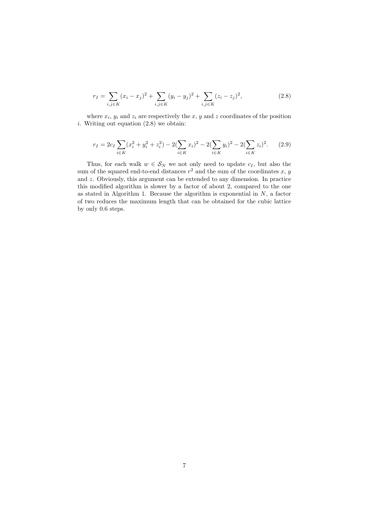$$
r_I = \sum_{i,j \in K} (x_i - x_j)^2 + \sum_{i,j \in K} (y_i - y_j)^2 + \sum_{i,j \in K} (z_i - z_j)^2,
$$
\n(2.8)

where  $x_i$ ,  $y_i$  and  $z_i$  are respectively the x, y and z coordinates of the position i. Writing out equation  $(2.8)$  we obtain:

$$
r_I = 2c_I \sum_{i \in K} (x_i^2 + y_i^2 + z_i^2) - 2(\sum_{i \in K} x_i)^2 - 2(\sum_{i \in K} y_i)^2 - 2(\sum_{i \in K} z_i)^2.
$$
 (2.9)

Thus, for each walk  $w \in S_N$  we not only need to update  $c_I$ , but also the sum of the squared end-to-end distances  $r^2$  and the sum of the coordinates x, y and z. Obviously, this argument can be extended to any dimension. In practice this modified algorithm is slower by a factor of about 2, compared to the one as stated in Algorithm 1. Because the algorithm is exponential in  $N$ , a factor of two reduces the maximum length that can be obtained for the cubic lattice by only 0.6 steps.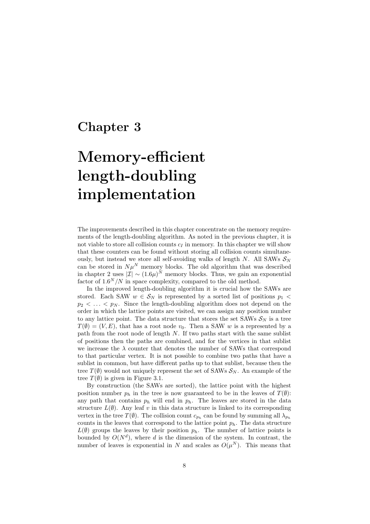# Memory-efficient length-doubling implementation

The improvements described in this chapter concentrate on the memory requirements of the length-doubling algorithm. As noted in the previous chapter, it is not viable to store all collision counts  $c_I$  in memory. In this chapter we will show that these counters can be found without storing all collision counts simultaneously, but instead we store all self-avoiding walks of length N. All SAWs  $S_N$ can be stored in  $N\mu^N$  memory blocks. The old algorithm that was described in chapter 2 uses  $|\mathcal{I}| \sim (1.6\mu)^N$  memory blocks. Thus, we gain an exponential factor of  $1.6^N/N$  in space complexity, compared to the old method.

In the improved length-doubling algorithm it is crucial how the SAWs are stored. Each SAW  $w \in S_N$  is represented by a sorted list of positions  $p_1$  <  $p_2 < \ldots < p_N$ . Since the length-doubling algorithm does not depend on the order in which the lattice points are visited, we can assign any position number to any lattice point. The data structure that stores the set SAWs  $\mathcal{S}_N$  is a tree  $T(\emptyset) = (V, E)$ , that has a root node  $v_0$ . Then a SAW w is a represented by a path from the root node of length  $N$ . If two paths start with the same sublist of positions then the paths are combined, and for the vertices in that sublist we increase the  $\lambda$  counter that denotes the number of SAWs that correspond to that particular vertex. It is not possible to combine two paths that have a sublist in common, but have different paths up to that sublist, because then the tree  $T(\emptyset)$  would not uniquely represent the set of SAWs  $S_N$ . An example of the tree  $T(\emptyset)$  is given in Figure 3.1.

By construction (the SAWs are sorted), the lattice point with the highest position number  $p_h$  in the tree is now guaranteed to be in the leaves of  $T(\emptyset)$ : any path that contains  $p_h$  will end in  $p_h$ . The leaves are stored in the data structure  $L(\emptyset)$ . Any leaf v in this data structure is linked to its corresponding vertex in the tree  $T(\emptyset)$ . The collision count  $c_{p_h}$  can be found by summing all  $\lambda_{p_h}$ counts in the leaves that correspond to the lattice point  $p_h$ . The data structure  $L(\emptyset)$  groups the leaves by their position  $p_h$ . The number of lattice points is bounded by  $O(N^d)$ , where d is the dimension of the system. In contrast, the number of leaves is exponential in N and scales as  $O(\mu^N)$ . This means that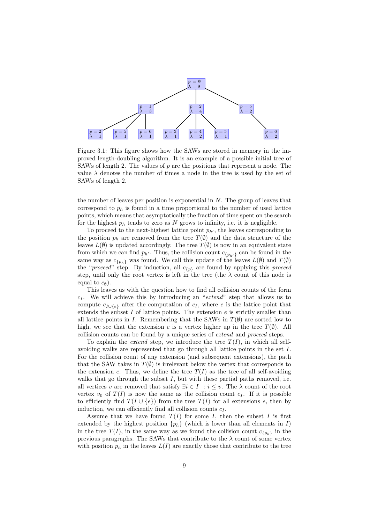

Figure 3.1: This figure shows how the SAWs are stored in memory in the improved length-doubling algorithm. It is an example of a possible initial tree of SAWs of length 2. The values of  $p$  are the positions that represent a node. The value  $\lambda$  denotes the number of times a node in the tree is used by the set of SAWs of length 2.

the number of leaves per position is exponential in  $N$ . The group of leaves that correspond to  $p_h$  is found in a time proportional to the number of used lattice points, which means that asymptotically the fraction of time spent on the search for the highest  $p_h$  tends to zero as N grows to infinity, i.e. it is negligible.

To proceed to the next-highest lattice point  $p_{h'}$ , the leaves corresponding to the position  $p_h$  are removed from the tree  $T(\emptyset)$  and the data structure of the leaves  $L(\emptyset)$  is updated accordingly. The tree  $T(\emptyset)$  is now in an equivalent state from which we can find  $p_{h'}$ . Thus, the collision count  $c_{\{p_{h'}\}}$  can be found in the same way as  $c_{\{p_h\}}$  was found. We call this update of the leaves  $L(\emptyset)$  and  $T(\emptyset)$ the "*proceed*" step. By induction, all  $c_{\{p\}}$  are found by applying this *proceed* step, until only the root vertex is left in the tree (the  $\lambda$  count of this node is equal to  $c_{\emptyset}$ ).

This leaves us with the question how to find all collision counts of the form  $c_I$ . We will achieve this by introducing an "extend" step that allows us to compute  $c_{I\cup\{e\}}$  after the computation of  $c_I$ , where e is the lattice point that extends the subset I of lattice points. The extension  $e$  is strictly smaller than all lattice points in I. Remembering that the SAWs in  $T(\emptyset)$  are sorted low to high, we see that the extension e is a vertex higher up in the tree  $T(\emptyset)$ . All collision counts can be found by a unique series of extend and proceed steps.

To explain the *extend* step, we introduce the tree  $T(I)$ , in which all selfavoiding walks are represented that go through all lattice points in the set I. For the collision count of any extension (and subsequent extensions), the path that the SAW takes in  $T(\emptyset)$  is irrelevant below the vertex that corresponds to the extension e. Thus, we define the tree  $T(I)$  as the tree of all self-avoiding walks that go through the subset  $I$ , but with these partial paths removed, i.e. all vertices v are removed that satisfy  $\exists i \in I : i \leq v$ . The  $\lambda$  count of the root vertex  $v_0$  of  $T(I)$  is now the same as the collision count  $c_I$ . If it is possible to efficiently find  $T(I \cup \{e\})$  from the tree  $T(I)$  for all extensions e, then by induction, we can efficiently find all collision counts  $c_I$ .

Assume that we have found  $T(I)$  for some I, then the subset I is first extended by the highest position  $\{p_h\}$  (which is lower than all elements in I) in the tree  $T(I)$ , in the same way as we found the collision count  $c_{\{p_h\}}$  in the previous paragraphs. The SAWs that contribute to the  $\lambda$  count of some vertex with position  $p_h$  in the leaves  $L(I)$  are exactly those that contribute to the tree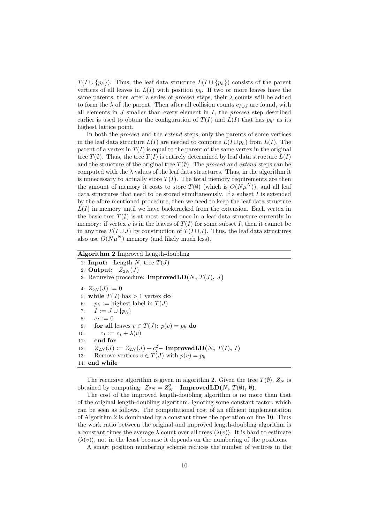$T(I \cup \{p_h\})$ . Thus, the leaf data structure  $L(I \cup \{p_h\})$  consists of the parent vertices of all leaves in  $L(I)$  with position  $p_h$ . If two or more leaves have the same parents, then after a series of *proceed* steps, their  $\lambda$  counts will be added to form the  $\lambda$  of the parent. Then after all collision counts  $c_{I\cup J}$  are found, with all elements in  $J$  smaller than every element in  $I$ , the proceed step described earlier is used to obtain the configuration of  $T(I)$  and  $L(I)$  that has  $p_{h'}$  as its highest lattice point.

In both the *proceed* and the *extend* steps, only the parents of some vertices in the leaf data structure  $L(I)$  are needed to compute  $L(I \cup p_h)$  from  $L(I)$ . The parent of a vertex in  $T(I)$  is equal to the parent of the same vertex in the original tree  $T(\emptyset)$ . Thus, the tree  $T(I)$  is entirely determined by leaf data structure  $L(I)$ and the structure of the original tree  $T(\emptyset)$ . The proceed and extend steps can be computed with the  $\lambda$  values of the leaf data structures. Thus, in the algorithm it is unnecessary to actually store  $T(I)$ . The total memory requirements are then the amount of memory it costs to store  $T(\emptyset)$  (which is  $O(N\mu^N)$ ), and all leaf data structures that need to be stored simultaneously. If a subset  $I$  is extended by the afore mentioned procedure, then we need to keep the leaf data structure  $L(I)$  in memory until we have backtracked from the extension. Each vertex in the basic tree  $T(\emptyset)$  is at most stored once in a leaf data structure currently in memory: if vertex v is in the leaves of  $T(I)$  for some subset I, then it cannot be in any tree  $T(I \cup J)$  by construction of  $T(I \cup J)$ . Thus, the leaf data structures also use  $O(N\mu^N)$  memory (and likely much less).

#### Algorithm 2 Improved Length-doubling

1: **Input:** Length N, tree  $T(J)$ 2: Output:  $Z_{2N}(J)$ 3: Recursive procedure: **ImprovedLD** $(N, T(J), J)$ 4:  $Z_{2N}(J) := 0$ 5: while  $T(J)$  has  $> 1$  vertex do 6:  $p_h :=$  highest label in  $T(J)$ 7:  $I := J \cup \{p_h\}$ 8:  $c_I := 0$ 9: for all leaves  $v \in T(J)$ :  $p(v) = p_h$  do 10:  $c_I := c_I + \lambda(v)$ 11: end for 12:  $Z_{2N}(J) := Z_{2N}(J) + c_I^2 - \text{ImprovedLD}(N, T(I), I)$ 13: Remove vertices  $v \in T(J)$  with  $p(v) = p_h$ 14: end while

The recursive algorithm is given in algorithm 2. Given the tree  $T(\emptyset)$ ,  $Z_N$  is obtained by computing:  $Z_{2N} = Z_N^2 - \text{ImprovedLD}(N, T(\emptyset), \emptyset)$ .

The cost of the improved length-doubling algorithm is no more than that of the original length-doubling algorithm, ignoring some constant factor, which can be seen as follows. The computational cost of an efficient implementation of Algorithm 2 is dominated by a constant times the operation on line 10. Thus the work ratio between the original and improved length-doubling algorithm is a constant times the average  $\lambda$  count over all trees  $\langle \lambda(v) \rangle$ . It is hard to estimate  $\langle \lambda(v) \rangle$ , not in the least because it depends on the numbering of the positions.

A smart position numbering scheme reduces the number of vertices in the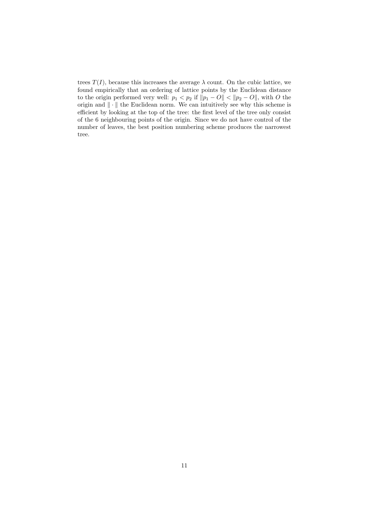trees  $T(I)$ , because this increases the average  $\lambda$  count. On the cubic lattice, we found empirically that an ordering of lattice points by the Euclidean distance to the origin performed very well:  $p_1 < p_2$  if  $||p_1 - O|| < ||p_2 - O||$ , with O the origin and  $\|\cdot\|$  the Euclidean norm. We can intuitively see why this scheme is efficient by looking at the top of the tree: the first level of the tree only consist of the 6 neighbouring points of the origin. Since we do not have control of the number of leaves, the best position numbering scheme produces the narrowest tree.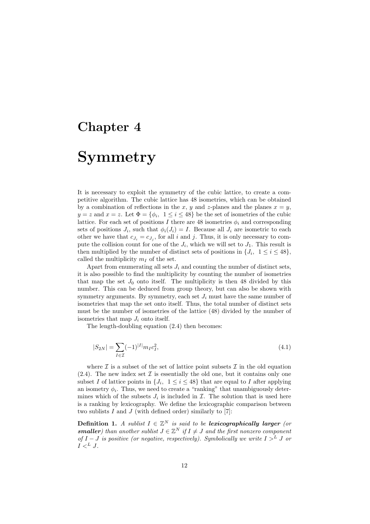## Symmetry

It is necessary to exploit the symmetry of the cubic lattice, to create a competitive algorithm. The cubic lattice has 48 isometries, which can be obtained by a combination of reflections in the x, y and z-planes and the planes  $x = y$ ,  $y = z$  and  $x = z$ . Let  $\Phi = {\phi_i, 1 \le i \le 48}$  be the set of isometries of the cubic lattice. For each set of positions I there are 48 isometries  $\phi_i$  and corresponding sets of positions  $J_i$ , such that  $\phi_i(J_i) = I$ . Because all  $J_i$  are isometric to each other we have that  $c_{J_i} = c_{J_j}$ , for all i and j. Thus, it is only necessary to compute the collision count for one of the  $J_i$ , which we will set to  $J_1$ . This result is then multiplied by the number of distinct sets of positions in  $\{J_i, 1 \leq i \leq 48\}$ , called the multiplicity  $m<sub>I</sub>$  of the set.

Apart from enumerating all sets  $J_i$  and counting the number of distinct sets, it is also possible to find the multiplicity by counting the number of isometries that map the set  $J_0$  onto itself. The multiplicity is then 48 divided by this number. This can be deduced from group theory, but can also be shown with symmetry arguments. By symmetry, each set  $J_i$  must have the same number of isometries that map the set onto itself. Thus, the total number of distinct sets must be the number of isometries of the lattice (48) divided by the number of isometries that map  $J_i$  onto itself.

The length-doubling equation (2.4) then becomes:

$$
|S_{2N}| = \sum_{I \in \mathcal{I}} (-1)^{|I|} m_I c_I^2,
$$
\n(4.1)

where  $\mathcal I$  is a subset of the set of lattice point subsets  $\mathcal I$  in the old equation  $(2.4)$ . The new index set  $\mathcal I$  is essentially the old one, but it contains only one subset I of lattice points in  $\{J_i, 1 \leq i \leq 48\}$  that are equal to I after applying an isometry  $\phi_i$ . Thus, we need to create a "ranking" that unambiguously determines which of the subsets  $J_i$  is included in  $\mathcal{I}$ . The solution that is used here is a ranking by lexicography. We define the lexicographic comparison between two sublists  $I$  and  $J$  (with defined order) similarly to [7]:

**Definition 1.** A sublist  $I \in \mathbb{Z}^N$  is said to be lexicographically larger (or **smaller**) than another sublist  $J \in \mathbb{Z}^N$  if  $I \neq J$  and the first nonzero component of  $I - J$  is positive (or negative, respectively). Symbolically we write  $I > L J$  or  $I \lt^L J$ .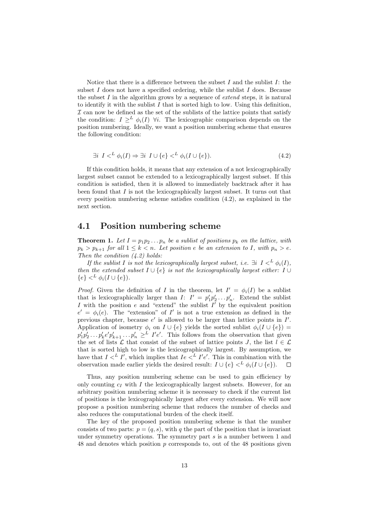Notice that there is a difference between the subset  $I$  and the sublist  $I$ : the subset  $I$  does not have a specified ordering, while the sublist  $I$  does. Because the subset I in the algorithm grows by a sequence of *extend* steps, it is natural to identify it with the sublist  $I$  that is sorted high to low. Using this definition,  $I$  can now be defined as the set of the sublists of the lattice points that satisfy the condition:  $I \geq^L \phi_i(I)$   $\forall i$ . The lexicographic comparison depends on the position numbering. Ideally, we want a position numbering scheme that ensures the following condition:

$$
\exists i \ I \langle \n\begin{array}{c} L \ \phi_i(I) \Rightarrow \exists i \ I \cup \{e\} \langle \n\begin{array}{c} L \ \phi_i(I \cup \{e\}). \end{array} \n\end{array} \n\tag{4.2}
$$

If this condition holds, it means that any extension of a not lexicographically largest subset cannot be extended to a lexicographically largest subset. If this condition is satisfied, then it is allowed to immediately backtrack after it has been found that  $I$  is not the lexicographically largest subset. It turns out that every position numbering scheme satisfies condition (4.2), as explained in the next section.

#### 4.1 Position numbering scheme

**Theorem 1.** Let  $I = p_1p_2 \ldots p_n$  be a sublist of positions  $p_k$  on the lattice, with  $p_k > p_{k+1}$  for all  $1 \leq k < n$ . Let position e be an extension to I, with  $p_n > e$ . Then the condition  $(4.2)$  holds:

If the sublist I is not the lexicographically largest subset, i.e.  $\exists i \, I \leq^L \phi_i(I)$ , then the extended subset  $I \cup \{e\}$  is not the lexicographically largest either: I ∪  ${e} <sup>L</sup> \phi_i(I \cup {e}).$ 

*Proof.* Given the definition of I in the theorem, let  $I' = \phi_i(I)$  be a sublist that is lexicographically larger than  $I: I' = p'_1 p'_2 \dots p'_n$ . Extend the sublist I with the position  $e$  and "extend" the sublist  $I'$  by the equivalent position  $e' = \phi_i(e)$ . The "extension" of I' is not a true extension as defined in the previous chapter, because  $e'$  is allowed to be larger than lattice points in  $I'$ . Application of isometry  $\phi_i$  on  $I \cup \{e\}$  yields the sorted sublist  $\phi_i(I \cup \{e\}) =$  $p'_1p'_2 \ldots p'_ke'p'_{k+1} \ldots p'_n \geq^L I'e'.$  This follows from the observation that given the set of lists L that consist of the subset of lattice points J, the list  $l \in \mathcal{L}$ that is sorted high to low is the lexicographically largest. By assumption, we have that  $I \langle L \mid I' \rangle$ , which implies that  $Ie \langle L \mid I'e'$ . This in combination with the observation made earlier yields the desired result:  $I \cup \{e\} <sup>L</sup> \phi_i(I \cup \{e\}).$  $\Box$ 

Thus, any position numbering scheme can be used to gain efficiency by only counting  $c_I$  with I the lexicographically largest subsets. However, for an arbitrary position numbering scheme it is necessary to check if the current list of positions is the lexicographically largest after every extension. We will now propose a position numbering scheme that reduces the number of checks and also reduces the computational burden of the check itself.

The key of the proposed position numbering scheme is that the number consists of two parts:  $p = (q, s)$ , with q the part of the position that is invariant under symmetry operations. The symmetry part  $s$  is a number between 1 and 48 and denotes which position p corresponds to, out of the 48 positions given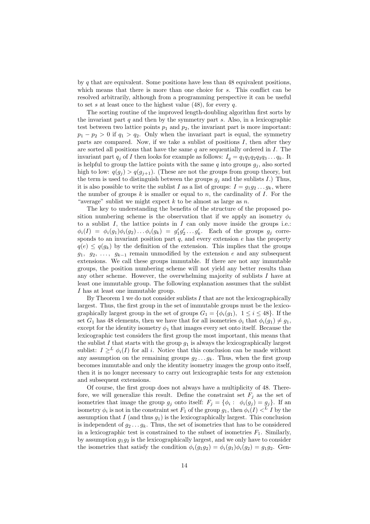by  $q$  that are equivalent. Some positions have less than 48 equivalent positions, which means that there is more than one choice for s. This conflict can be resolved arbitrarily, although from a programming perspective it can be useful to set s at least once to the highest value  $(48)$ , for every q.

The sorting routine of the improved length-doubling algorithm first sorts by the invariant part  $q$  and then by the symmetry part  $s$ . Also, in a lexicographic test between two lattice points  $p_1$  and  $p_2$ , the invariant part is more important:  $p_1 - p_2 > 0$  if  $q_1 > q_2$ . Only when the invariant part is equal, the symmetry parts are compared. Now, if we take a sublist of positions  $I$ , then after they are sorted all positions that have the same  $q$  are sequentially ordered in  $I$ . The invariant part  $q_j$  of I then looks for example as follows:  $I_q = q_1 q_1 q_2 q_3 q_3 \dots q_k$ . It is helpful to group the lattice points with the same  $q$  into groups  $g_j$ , also sorted high to low:  $q(g_j) > q(g_{j+1})$ . (These are not the groups from group theory, but the term is used to distinguish between the groups  $g_i$  and the sublists I.) Thus, it is also possible to write the sublist I as a list of groups:  $I = q_1 q_2 \dots q_k$ , where the number of groups  $k$  is smaller or equal to  $n$ , the cardinality of  $I$ . For the "average" sublist we might expect  $k$  to be almost as large as  $n$ .

The key to understanding the benefits of the structure of the proposed position numbering scheme is the observation that if we apply an isometry  $\phi_i$ to a sublist  $I$ , the lattice points in  $I$  can only move inside the groups i.e.:  $\phi_i(I) = \phi_i(g_1)\phi_i(g_2)\dots\phi_i(g_k) = g'_1g'_2\dots g'_k$ . Each of the groups  $g_j$  corresponds to an invariant position part  $q$ , and every extension  $e$  has the property  $q(e) \leq q(g_k)$  by the definition of the extension. This implies that the groups  $g_1, g_2, \ldots, g_{k-1}$  remain unmodified by the extension e and any subsequent extensions. We call these groups immutable. If there are not any immutable groups, the position numbering scheme will not yield any better results than any other scheme. However, the overwhelming majority of sublists  $I$  have at least one immutable group. The following explanation assumes that the sublist I has at least one immutable group.

By Theorem 1 we do not consider sublists  $I$  that are not the lexicographically largest. Thus, the first group in the set of immutable groups must be the lexicographically largest group in the set of groups  $G_1 = \{\phi_i(g_1), 1 \leq i \leq 48\}$ . If the set  $G_1$  has 48 elements, then we have that for all isometries  $\phi_i$  that  $\phi_i(q_1) \neq q_1$ , except for the identity isometry  $\phi_1$  that images every set onto itself. Because the lexicographic test considers the first group the most important, this means that the sublist  $I$  that starts with the group  $g_1$  is always the lexicographically largest sublist:  $I \geq^L \phi_i(I)$  for all i. Notice that this conclusion can be made without any assumption on the remaining groups  $q_2 \ldots q_k$ . Thus, when the first group becomes immutable and only the identity isometry images the group onto itself, then it is no longer necessary to carry out lexicographic tests for any extension and subsequent extensions.

Of course, the first group does not always have a multiplicity of 48. Therefore, we will generalize this result. Define the constraint set  $F_i$  as the set of isometries that image the group  $g_j$  onto itself:  $F_j = \{\phi_i : \phi_i(g_j) = g_j\}$ . If an isometry  $\phi_i$  is not in the constraint set  $F_1$  of the group  $g_1$ , then  $\phi_i(I) <^L I$  by the assumption that  $I$  (and thus  $g_1$ ) is the lexicographically largest. This conclusion is independent of  $g_2 \ldots g_k$ . Thus, the set of isometries that has to be considered in a lexicographic test is constrained to the subset of isometries  $F_1$ . Similarly, by assumption  $g_1g_2$  is the lexicographically largest, and we only have to consider the isometries that satisfy the condition  $\phi_i(q_1q_2) = \phi_i(q_1)\phi_i(q_2) = q_1q_2$ . Gen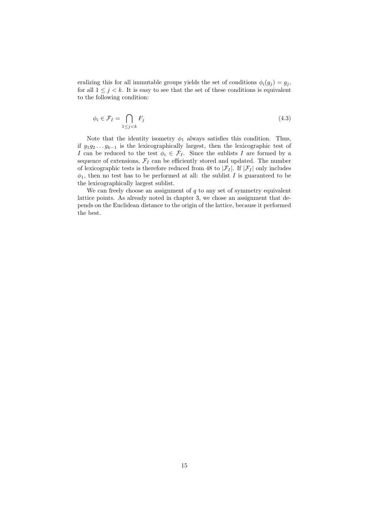eralizing this for all immutable groups yields the set of conditions  $\phi_i(g_j) = g_j$ , for all  $1 \leq j \leq k$ . It is easy to see that the set of these conditions is equivalent to the following condition:

$$
\phi_i \in \mathcal{F}_I = \bigcap_{1 \le j < k} F_j \tag{4.3}
$$

Note that the identity isometry  $\phi_1$  always satisfies this condition. Thus, if  $g_1g_2 \ldots g_{k-1}$  is the lexicographically largest, then the lexicographic test of I can be reduced to the test  $\phi_i \in \mathcal{F}_I$ . Since the sublists I are formed by a sequence of extensions,  $\mathcal{F}_I$  can be efficiently stored and updated. The number of lexicographic tests is therefore reduced from 48 to  $|\mathcal{F}_I|$ . If  $|\mathcal{F}_I|$  only includes  $\phi_1$ , then no test has to be performed at all: the sublist I is guaranteed to be the lexicographically largest sublist.

We can freely choose an assignment of  $q$  to any set of symmetry equivalent lattice points. As already noted in chapter 3, we chose an assignment that depends on the Euclidean distance to the origin of the lattice, because it performed the best.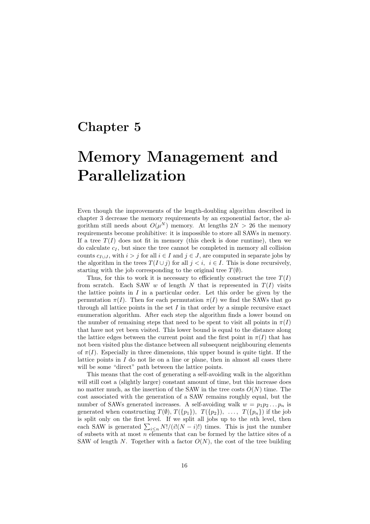# Memory Management and Parallelization

Even though the improvements of the length-doubling algorithm described in chapter 3 decrease the memory requirements by an exponential factor, the algorithm still needs about  $O(\mu^N)$  memory. At lengths  $2N > 26$  the memory requirements become prohibitive: it is impossible to store all SAWs in memory. If a tree  $T(I)$  does not fit in memory (this check is done runtime), then we do calculate  $c_I$ , but since the tree cannot be completed in memory all collision counts  $c_{I\cup J}$ , with  $i > j$  for all  $i \in I$  and  $j \in J$ , are computed in separate jobs by the algorithm in the trees  $T(I \cup j)$  for all  $j < i$ ,  $i \in I$ . This is done recursively, starting with the job corresponding to the original tree  $T(\emptyset)$ .

Thus, for this to work it is necessary to efficiently construct the tree  $T(I)$ from scratch. Each SAW  $w$  of length  $N$  that is represented in  $T(I)$  visits the lattice points in  $I$  in a particular order. Let this order be given by the permutation  $\pi(I)$ . Then for each permutation  $\pi(I)$  we find the SAWs that go through all lattice points in the set  $I$  in that order by a simple recursive exact enumeration algorithm. After each step the algorithm finds a lower bound on the number of remaining steps that need to be spent to visit all points in  $\pi(I)$ that have not yet been visited. This lower bound is equal to the distance along the lattice edges between the current point and the first point in  $\pi(I)$  that has not been visited plus the distance between all subsequent neighbouring elements of  $\pi(I)$ . Especially in three dimensions, this upper bound is quite tight. If the lattice points in  $I$  do not lie on a line or plane, then in almost all cases there will be some "direct" path between the lattice points.

This means that the cost of generating a self-avoiding walk in the algorithm will still cost a (slightly larger) constant amount of time, but this increase does no matter much, as the insertion of the SAW in the tree costs  $O(N)$  time. The cost associated with the generation of a SAW remains roughly equal, but the number of SAWs generated increases. A self-avoiding walk  $w = p_1p_2 \ldots p_n$  is generated when constructing  $T(\emptyset)$ ,  $T(\{p_1\})$ ,  $T(\{p_2\})$ , ...,  $T(\{p_n\})$  if the job is split only on the first level. If we split all jobs up to the nth level, then each SAW is generated  $\sum_{i\leq n} N!/(i!(N-i)!)$  times. This is just the number of subsets with at most  $n$  elements that can be formed by the lattice sites of a SAW of length N. Together with a factor  $O(N)$ , the cost of the tree building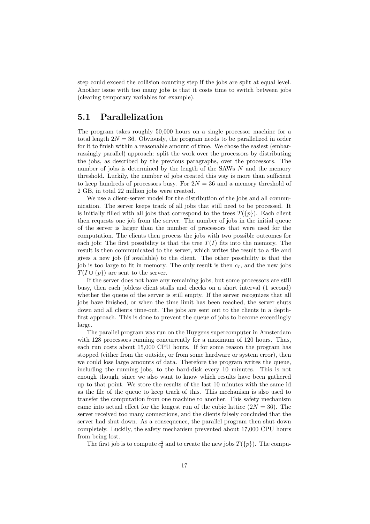step could exceed the collision counting step if the jobs are split at equal level. Another issue with too many jobs is that it costs time to switch between jobs (clearing temporary variables for example).

#### 5.1 Parallelization

The program takes roughly 50,000 hours on a single processor machine for a total length  $2N = 36$ . Obviously, the program needs to be parallelized in order for it to finish within a reasonable amount of time. We chose the easiest (embarrassingly parallel) approach: split the work over the processors by distributing the jobs, as described by the previous paragraphs, over the processors. The number of jobs is determined by the length of the SAWs  $N$  and the memory threshold. Luckily, the number of jobs created this way is more than sufficient to keep hundreds of processors busy. For  $2N = 36$  and a memory threshold of 2 GB, in total 22 million jobs were created.

We use a client-server model for the distribution of the jobs and all communication. The server keeps track of all jobs that still need to be processed. It is initially filled with all jobs that correspond to the trees  $T(\{p\})$ . Each client then requests one job from the server. The number of jobs in the initial queue of the server is larger than the number of processors that were used for the computation. The clients then process the jobs with two possible outcomes for each job: The first possibility is that the tree  $T(I)$  fits into the memory. The result is then communicated to the server, which writes the result to a file and gives a new job (if available) to the client. The other possibility is that the job is too large to fit in memory. The only result is then  $c_I$ , and the new jobs  $T(I \cup \{p\})$  are sent to the server.

If the server does not have any remaining jobs, but some processors are still busy, then each jobless client stalls and checks on a short interval (1 second) whether the queue of the server is still empty. If the server recognizes that all jobs have finished, or when the time limit has been reached, the server shuts down and all clients time-out. The jobs are sent out to the clients in a depthfirst approach. This is done to prevent the queue of jobs to become exceedingly large.

The parallel program was run on the Huygens supercomputer in Amsterdam with 128 processors running concurrently for a maximum of 120 hours. Thus, each run costs about 15,000 CPU hours. If for some reason the program has stopped (either from the outside, or from some hardware or system error), then we could lose large amounts of data. Therefore the program writes the queue, including the running jobs, to the hard-disk every 10 minutes. This is not enough though, since we also want to know which results have been gathered up to that point. We store the results of the last 10 minutes with the same id as the file of the queue to keep track of this. This mechanism is also used to transfer the computation from one machine to another. This safety mechanism came into actual effect for the longest run of the cubic lattice  $(2N = 36)$ . The server received too many connections, and the clients falsely concluded that the server had shut down. As a consequence, the parallel program then shut down completely. Luckily, the safety mechanism prevented about 17,000 CPU hours from being lost.

The first job is to compute  $c_{\emptyset}^2$  and to create the new jobs  $T(\{p\})$ . The compu-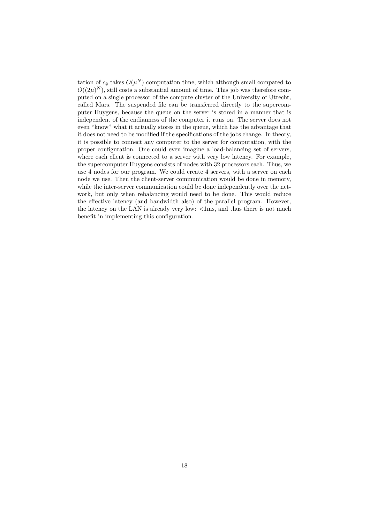tation of  $c_{\emptyset}$  takes  $O(\mu^N)$  computation time, which although small compared to  $O((2\mu)^N)$ , still costs a substantial amount of time. This job was therefore computed on a single processor of the compute cluster of the University of Utrecht, called Mars. The suspended file can be transferred directly to the supercomputer Huygens, because the queue on the server is stored in a manner that is independent of the endianness of the computer it runs on. The server does not even "know" what it actually stores in the queue, which has the advantage that it does not need to be modified if the specifications of the jobs change. In theory, it is possible to connect any computer to the server for computation, with the proper configuration. One could even imagine a load-balancing set of servers, where each client is connected to a server with very low latency. For example, the supercomputer Huygens consists of nodes with 32 processors each. Thus, we use 4 nodes for our program. We could create 4 servers, with a server on each node we use. Then the client-server communication would be done in memory, while the inter-server communication could be done independently over the network, but only when rebalancing would need to be done. This would reduce the effective latency (and bandwidth also) of the parallel program. However, the latency on the LAN is already very low:  $\langle 1 \text{ms}, \text{and thus there is not much} \rangle$ benefit in implementing this configuration.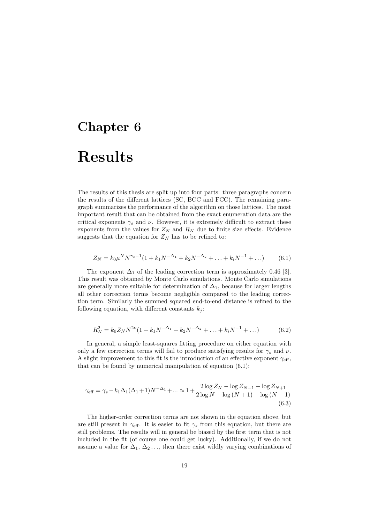## Results

The results of this thesis are split up into four parts: three paragraphs concern the results of the different lattices (SC, BCC and FCC). The remaining paragraph summarizes the performance of the algorithm on those lattices. The most important result that can be obtained from the exact enumeration data are the critical exponents  $\gamma_s$  and  $\nu$ . However, it is extremely difficult to extract these exponents from the values for  $Z_N$  and  $R_N$  due to finite size effects. Evidence suggests that the equation for  $Z_N$  has to be refined to:

$$
Z_N = k_0 \mu^N N^{\gamma_s - 1} (1 + k_1 N^{-\Delta_1} + k_2 N^{-\Delta_2} + \dots + k_i N^{-1} + \dots)
$$
 (6.1)

The exponent  $\Delta_1$  of the leading correction term is approximately 0.46 [3]. This result was obtained by Monte Carlo simulations. Monte Carlo simulations are generally more suitable for determination of  $\Delta_1$ , because for larger lengths all other correction terms become negligible compared to the leading correction term. Similarly the summed squared end-to-end distance is refined to the following equation, with different constants  $k_i$ :

$$
R_N^2 = k_0 Z_N N^{2\nu} (1 + k_1 N^{-\Delta_1} + k_2 N^{-\Delta_2} + \dots + k_i N^{-1} + \dots)
$$
 (6.2)

In general, a simple least-squares fitting procedure on either equation with only a few correction terms will fail to produce satisfying results for  $\gamma_s$  and  $\nu$ . A slight improvement to this fit is the introduction of an effective exponent  $\gamma_{\text{eff}}$ , that can be found by numerical manipulation of equation (6.1):

$$
\gamma_{\text{eff}} = \gamma_s - k_1 \Delta_1 (\Delta_1 + 1) N^{-\Delta_1} + \dots \approx 1 + \frac{2 \log Z_N - \log Z_{N-1} - \log Z_{N+1}}{2 \log N - \log (N+1) - \log (N-1)}
$$
(6.3)

The higher-order correction terms are not shown in the equation above, but are still present in  $\gamma_{\text{eff}}$ . It is easier to fit  $\gamma_s$  from this equation, but there are still problems. The results will in general be biased by the first term that is not included in the fit (of course one could get lucky). Additionally, if we do not assume a value for  $\Delta_1, \Delta_2, \ldots$ , then there exist wildly varying combinations of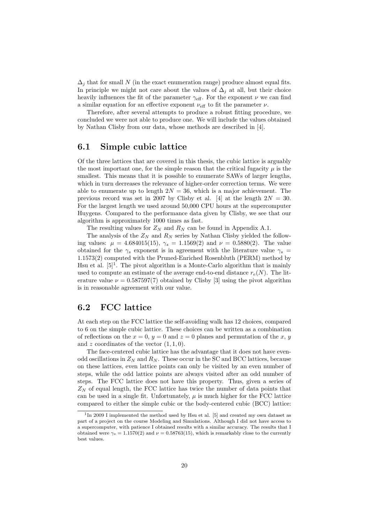$\Delta_i$  that for small N (in the exact enumeration range) produce almost equal fits. In principle we might not care about the values of  $\Delta_i$  at all, but their choice heavily influences the fit of the parameter  $\gamma_{\text{eff}}$ . For the exponent  $\nu$  we can find a similar equation for an effective exponent  $\nu_{\text{eff}}$  to fit the parameter  $\nu$ .

Therefore, after several attempts to produce a robust fitting procedure, we concluded we were not able to produce one. We will include the values obtained by Nathan Clisby from our data, whose methods are described in [4].

#### 6.1 Simple cubic lattice

Of the three lattices that are covered in this thesis, the cubic lattice is arguably the most important one, for the simple reason that the critical fugacity  $\mu$  is the smallest. This means that it is possible to enumerate SAWs of larger lengths, which in turn decreases the relevance of higher-order correction terms. We were able to enumerate up to length  $2N = 36$ , which is a major achievement. The previous record was set in 2007 by Clisby et al. [4] at the length  $2N = 30$ . For the largest length we used around 50,000 CPU hours at the supercomputer Huygens. Compared to the performance data given by Clisby, we see that our algorithm is approximately 1000 times as fast.

The resulting values for  $Z_N$  and  $R_N$  can be found in Appendix A.1.

The analysis of the  $Z_N$  and  $R_N$  series by Nathan Clisby yielded the following values:  $\mu = 4.684015(15)$ ,  $\gamma_s = 1.1569(2)$  and  $\nu = 0.5880(2)$ . The value obtained for the  $\gamma_s$  exponent is in agreement with the literature value  $\gamma_s$ 1.1573(2) computed with the Pruned-Enriched Rosenbluth (PERM) method by Hsu et al.  $[5]^1$ . The pivot algorithm is a Monte-Carlo algorithm that is mainly used to compute an estimate of the average end-to-end distance  $r_e(N)$ . The literature value  $\nu = 0.587597(7)$  obtained by Clisby [3] using the pivot algorithm is in reasonable agreement with our value.

#### 6.2 FCC lattice

At each step on the FCC lattice the self-avoiding walk has 12 choices, compared to 6 on the simple cubic lattice. These choices can be written as a combination of reflections on the  $x = 0$ ,  $y = 0$  and  $z = 0$  planes and permutation of the x, y and z coordinates of the vector  $(1, 1, 0)$ .

The face-centered cubic lattice has the advantage that it does not have evenodd oscillations in  $Z_N$  and  $R_N$ . These occur in the SC and BCC lattices, because on these lattices, even lattice points can only be visited by an even number of steps, while the odd lattice points are always visited after an odd number of steps. The FCC lattice does not have this property. Thus, given a series of  $Z_N$  of equal length, the FCC lattice has twice the number of data points that can be used in a single fit. Unfortunately,  $\mu$  is much higher for the FCC lattice compared to either the simple cubic or the body-centered cubic (BCC) lattice:

<sup>&</sup>lt;sup>1</sup>In 2009 I implemented the method used by Hsu et al. [5] and created my own dataset as part of a project on the course Modeling and Simulations. Although I did not have access to a supercomputer, with patience I obtained results with a similar accuracy. The results that I obtained were  $\gamma_s = 1.1570(2)$  and  $\nu = 0.58763(15)$ , which is remarkably close to the currently best values.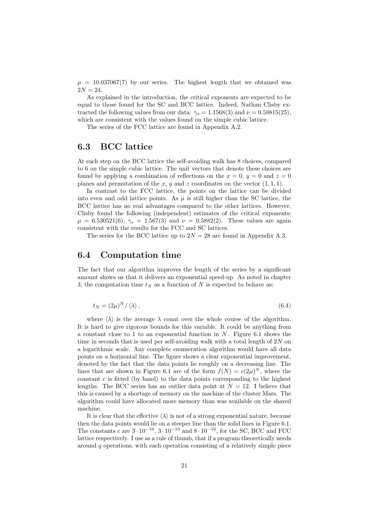$\mu = 10.037067(7)$  by our series. The highest length that we obtained was  $2N = 24.$ 

As explained in the introduction, the critical exponents are expected to be equal to those found for the SC and BCC lattice. Indeed, Nathan Clisby extracted the following values from our data:  $\gamma_s = 1.1568(3)$  and  $\nu = 0.58815(25)$ , which are consistent with the values found on the simple cubic lattice.

The series of the FCC lattice are found in Appendix A.2.

#### 6.3 BCC lattice

At each step on the BCC lattice the self-avoiding walk has 8 choices, compared to 6 on the simple cubic lattice. The unit vectors that denote these choices are found by applying a combination of reflections on the  $x = 0$ ,  $y = 0$  and  $z = 0$ planes and permutation of the x, y and z coordinates on the vector  $(1, 1, 1)$ .

In contrast to the FCC lattice, the points on the lattice can be divided into even and odd lattice points. As  $\mu$  is still higher than the SC lattice, the BCC lattice has no real advantages compared to the other lattices. However, Clisby found the following (independent) estimates of the critical exponents:  $\mu = 6.530521(6)$ ,  $\gamma_s = 1.567(3)$  and  $\nu = 0.5882(2)$ . These values are again consistent with the results for the FCC and SC lattices.

The series for the BCC lattice up to  $2N = 28$  are found in Appendix A.3.

#### 6.4 Computation time

The fact that our algorithm improves the length of the series by a significant amount shows us that it delivers an exponential speed-up. As noted in chapter 3, the computation time  $t_N$  as a function of N is expected to behave as:

$$
t_N = (2\mu)^N / \langle \lambda \rangle \,, \tag{6.4}
$$

where  $\langle \lambda \rangle$  is the average  $\lambda$  count over the whole course of the algorithm. It is hard to give rigorous bounds for this variable. It could be anything from a constant close to 1 to an exponential function in  $N$ . Figure 6.1 shows the time in seconds that is used per self-avoiding walk with a total length of  $2N$  on a logarithmic scale. Any complete enumeration algorithm would have all data points on a horizontal line. The figure shows a clear exponential improvement, denoted by the fact that the data points lie roughly on a decreasing line. The lines that are shown in Figure 6.1 are of the form  $f(N) = c(2\mu)^N$ , where the constant  $c$  is fitted (by hand) to the data points corresponding to the highest lengths. The BCC series has an outlier data point at  $N = 12$ . I believe that this is caused by a shortage of memory on the machine of the cluster Mars. The algorithm could have allocated more memory than was available on the shared machine.

It is clear that the effective  $\langle \lambda \rangle$  is not of a strong exponential nature, because then the data points would lie on a steeper line than the solid lines in Figure 6.1. The constants c are  $3 \cdot 10^{-10}$ ,  $3 \cdot 10^{-10}$  and  $8 \cdot 10^{-10}$ , for the SC, BCC and FCC lattice respectively. I use as a rule of thumb, that if a program theoretically needs around  $q$  operations, with each operation consisting of a relatively simple piece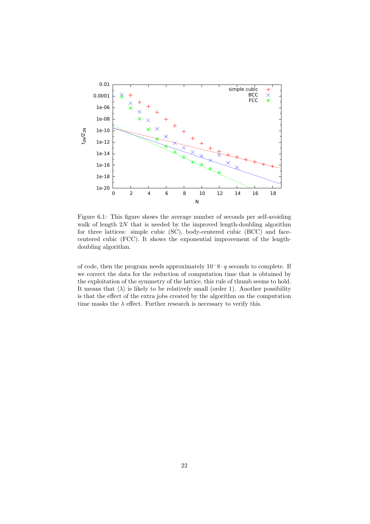

Figure 6.1: This figure shows the average number of seconds per self-avoiding walk of length  $2N$  that is needed by the improved length-doubling algorithm for three lattices: simple cubic (SC), body-centered cubic (BCC) and facecentered cubic (FCC). It shows the exponential improvement of the lengthdoubling algorithm.

of code, then the program needs approximately  $10^-8 \cdot q$  seconds to complete. If we correct the data for the reduction of computation time that is obtained by the exploitation of the symmetry of the lattice, this rule of thumb seems to hold. It means that  $\langle \lambda \rangle$  is likely to be relatively small (order 1). Another possibility is that the effect of the extra jobs created by the algorithm on the computation time masks the  $\lambda$  effect. Further research is necessary to verify this.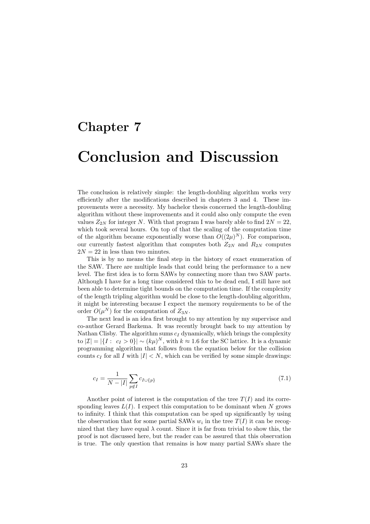## Conclusion and Discussion

The conclusion is relatively simple: the length-doubling algorithm works very efficiently after the modifications described in chapters 3 and 4. These improvements were a necessity. My bachelor thesis concerned the length-doubling algorithm without these improvements and it could also only compute the even values  $Z_{2N}$  for integer N. With that program I was barely able to find  $2N = 22$ , which took several hours. On top of that the scaling of the computation time of the algorithm became exponentially worse than  $O((2\mu)^N)$ . For comparison, our currently fastest algorithm that computes both  $Z_{2N}$  and  $R_{2N}$  computes  $2N = 22$  in less than two minutes.

This is by no means the final step in the history of exact enumeration of the SAW. There are multiple leads that could bring the performance to a new level. The first idea is to form SAWs by connecting more than two SAW parts. Although I have for a long time considered this to be dead end, I still have not been able to determine tight bounds on the computation time. If the complexity of the length tripling algorithm would be close to the length-doubling algorithm, it might be interesting because I expect the memory requirements to be of the order  $O(\mu^N)$  for the computation of  $Z_{3N}$ .

The next lead is an idea first brought to my attention by my supervisor and co-author Gerard Barkema. It was recently brought back to my attention by Nathan Clisby. The algorithm sums  $c_I$  dynamically, which brings the complexity to  $|\mathcal{I}| = |\{I : c_I > 0\}| \sim (k\mu)^N$ , with  $k \approx 1.6$  for the SC lattice. It is a dynamic programming algorithm that follows from the equation below for the collision counts  $c_I$  for all I with  $|I| < N$ , which can be verified by some simple drawings:

$$
c_I = \frac{1}{N - |I|} \sum_{p \notin I} c_{I \cup \{p\}} \tag{7.1}
$$

Another point of interest is the computation of the tree  $T(I)$  and its corresponding leaves  $L(I)$ . I expect this computation to be dominant when N grows to infinity. I think that this computation can be sped up significantly by using the observation that for some partial SAWs  $w_i$  in the tree  $T(I)$  it can be recognized that they have equal  $\lambda$  count. Since it is far from trivial to show this, the proof is not discussed here, but the reader can be assured that this observation is true. The only question that remains is how many partial SAWs share the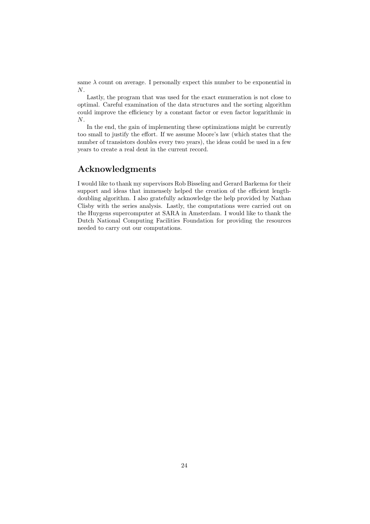same  $\lambda$  count on average. I personally expect this number to be exponential in N.

Lastly, the program that was used for the exact enumeration is not close to optimal. Careful examination of the data structures and the sorting algorithm could improve the efficiency by a constant factor or even factor logarithmic in N.

In the end, the gain of implementing these optimizations might be currently too small to justify the effort. If we assume Moore's law (which states that the number of transistors doubles every two years), the ideas could be used in a few years to create a real dent in the current record.

#### Acknowledgments

I would like to thank my supervisors Rob Bisseling and Gerard Barkema for their support and ideas that immensely helped the creation of the efficient lengthdoubling algorithm. I also gratefully acknowledge the help provided by Nathan Clisby with the series analysis. Lastly, the computations were carried out on the Huygens supercomputer at SARA in Amsterdam. I would like to thank the Dutch National Computing Facilities Foundation for providing the resources needed to carry out our computations.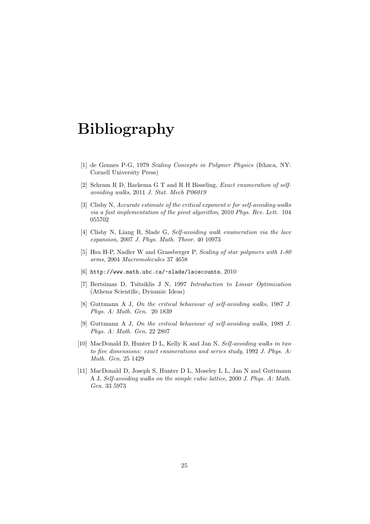## Bibliography

- [1] de Gennes P-G, 1979 Scaling Concepts in Polymer Physics (Ithaca, NY: Cornell University Press)
- [2] Schram R D, Barkema G T and R H Bisseling, Exact enumeration of selfavoiding walks, 2011 J. Stat. Mech P06019
- [3] Clisby N, Accurate estimate of the critical exponent  $\nu$  for self-avoiding walks via a fast implementation of the pivot algorithm, 2010 Phys. Rev. Lett. 104 055702
- [4] Clisby N, Liang R, Slade G, Self-avoiding walk enumeration via the lace expansion, 2007 J. Phys. Math. Theor. 40 10973
- [5] Hsu H-P, Nadler W and Grassberger P, Scaling of star polymers with 1-80 arms, 2004 Macromolecules 37 4658
- [6] http://www.math.ubc.ca/~slade/lacecounts, 2010
- [7] Bertsimas D, Tsitsiklis J N, 1997 Introduction to Linear Optimization (Athena Scientific, Dynamic Ideas)
- [8] Guttmann A J, On the critical behaviour of self-avoiding walks, 1987 J. Phys. A: Math. Gen. 20 1839
- [9] Guttmann A J, On the critical behaviour of self-avoiding walks, 1989 J. Phys. A: Math. Gen. 22 2807
- [10] MacDonald D, Hunter D L, Kelly K and Jan N, Self-avoiding walks in two to five dimensions: exact enumerations and series study, 1992 J. Phys. A: Math. Gen. 25 1429
- [11] MacDonald D, Joseph S, Hunter D L, Moseley L L, Jan N and Guttmann A J, Self-avoiding walks on the simple cubic lattice, 2000 J. Phys. A: Math. Gen. 33 5973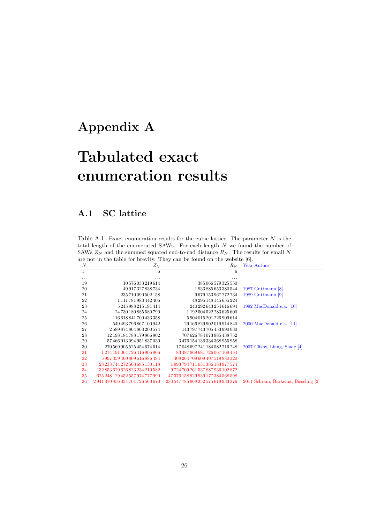## Appendix A

# Tabulated exact enumeration results

#### A.1 SC lattice

Table A.1: Exact enumeration results for the cubic lattice. The parameter  $N$  is the total length of the enumerated SAWs. For each length N we found the number of SAWs  $Z_N$  and the summed squared end-to-end distance  $R_N$ . The results for small N are not in the table for brevity. They can be found on the website [6].

| the flor in the table for brevity. They can be found on the website $[0]$ . |                                 |                                     |                                     |  |  |  |
|-----------------------------------------------------------------------------|---------------------------------|-------------------------------------|-------------------------------------|--|--|--|
| N                                                                           | $Z_N$                           | $R_N$                               | Year Author                         |  |  |  |
| $\mathbf{1}$                                                                | 6                               | 6                                   |                                     |  |  |  |
| .                                                                           |                                 |                                     |                                     |  |  |  |
| 19                                                                          | 10576033219614                  | 385 066 579 325 550                 |                                     |  |  |  |
| 20                                                                          | 49 917 327 838 734              | 1 933 885 653 380 544               | 1987 Guttmann $[8]$                 |  |  |  |
| 21                                                                          | 235 710 090 502 158             | 9679153967272734                    | 1989 Guttmann [9]                   |  |  |  |
| 22                                                                          | 1 111 781 983 442 406           | 48 295 148 145 655 224              |                                     |  |  |  |
| 23                                                                          | 5 245 988 215 191 414           | 240 292 643 254 616 694             | 1992 MacDonald e.a. $[10]$          |  |  |  |
| 24                                                                          | 24 730 180 885 580 790          | 1 192 504 522 283 625 600           |                                     |  |  |  |
| 25                                                                          | 116 618 841 700 433 358         | 5 904 015 201 226 909 614           |                                     |  |  |  |
| 26                                                                          | 549 493 796 867 100 942         | 29 166 829 902 019 914 840          | $2000$ MacDonald e.a. [11]          |  |  |  |
| 27                                                                          | 2589874864863200574             | 143 797 743 705 453 990 030         |                                     |  |  |  |
| 28                                                                          | 12 198 184 788 179 866 902      | 707 626 784 073 985 438 752         |                                     |  |  |  |
| 29                                                                          | 57 466 913 094 951 837 030      | 3476154136334368955958              |                                     |  |  |  |
| 30                                                                          | 270 569 905 525 454 674 614     | 17 048 697 241 184 582 716 248      | $2007$ Clisby, Liang, Slade [4]     |  |  |  |
| 31                                                                          | 1 274 191 064 726 416 905 966   | 83 487 969 681 726 067 169 454      |                                     |  |  |  |
| 32                                                                          | 5997359460809616886494          | 408 264 709 609 407 519 880 320     |                                     |  |  |  |
| 33                                                                          | 28 233 744 272 563 685 150 118  | 1993 794 711 631 386 183 977 574    |                                     |  |  |  |
| 34                                                                          | 132853629626823234210582        | 9724709261537887936102872           |                                     |  |  |  |
| 35                                                                          | 625 248 129 452 557 974 777 990 | 47 376 158 929 939 177 384 568 598  |                                     |  |  |  |
| 36                                                                          | 2941370856334701726560670       | 230 547 785 968 352 575 619 933 376 | 2011 Schram, Barkema, Bisseling [2] |  |  |  |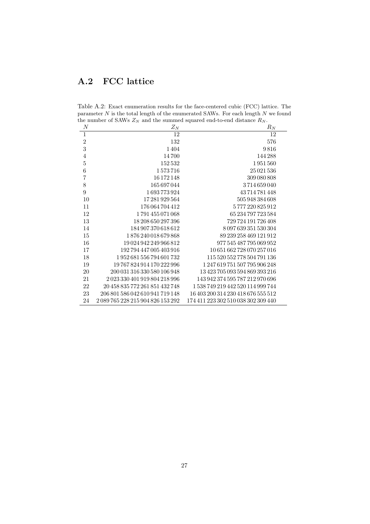### A.2 FCC lattice

Table A.2: Exact enumeration results for the face-centered cubic (FCC) lattice. The parameter  $N$  is the total length of the enumerated SAWs. For each length  $N$  we found the number of SAWs  $Z_N$  and the summed squared end-to-end distance  $R_N$ .

| $\boldsymbol{N}$ | $Z_N$                             | $\mathcal{R}_N$                     |
|------------------|-----------------------------------|-------------------------------------|
| $\overline{1}$   | 12                                | 12                                  |
| $\overline{2}$   | 132                               | 576                                 |
| 3                | 1404                              | 9816                                |
| $\overline{4}$   | 14700                             | 144288                              |
| $\overline{5}$   | 152532                            | 1951560                             |
| $\boldsymbol{6}$ | 1573716                           | 25 0 21 5 36                        |
| $\overline{7}$   | 16 172 148                        | 309 080 808                         |
| 8                | 165 697 044                       | 3714659040                          |
| 9                | 1693773924                        | 43714781448                         |
| 10               | 17 281 929 564                    | 505 948 384 608                     |
| 11               | 176 064 704 412                   | 5777220825912                       |
| 12               | 1791455071068                     | 65 234 797 723 584                  |
| 13               | 18 208 650 297 396                | 729 724 191 726 408                 |
| 14               | 184 907 370 618 612               | 8 097 639 351 530 304               |
| 15               | 1876240018679868                  | 89 239 258 469 121 912              |
| 16               | 19 024 942 249 966 812            | 977 545 487 795 069 952             |
| 17               | 192 794 447 005 403 916           | 10 651 662 728 070 257 016          |
| 18               | 1952681556794601732               | 115 520 552 778 504 791 136         |
| 19               | 19 767 824 914 170 222 996        | 1247619751507795906248              |
| 20               | 200 031 316 330 580 106 948       | 13 423 705 093 594 869 393 216      |
| 21               | 2023330401919804218996            | 143 942 374 595 787 212 970 696     |
| 22               | 20 458 835 772 261 851 432 748    | 1538749219442520114999744           |
| 23               | 206 801 586 042 610 941 719 148   | 16 403 200 314 230 418 676 555 512  |
| 24               | 2 089 765 228 215 904 826 153 292 | 174 411 223 302 510 038 302 309 440 |